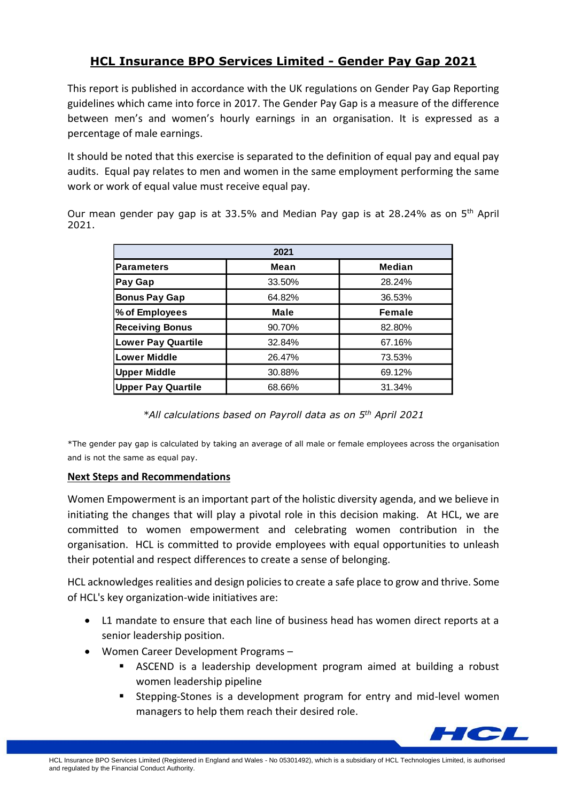## **HCL Insurance BPO Services Limited - Gender Pay Gap 2021**

This report is published in accordance with the UK regulations on Gender Pay Gap Reporting guidelines which came into force in 2017. The Gender Pay Gap is a measure of the difference between men's and women's hourly earnings in an organisation. It is expressed as a percentage of male earnings.

It should be noted that this exercise is separated to the definition of equal pay and equal pay audits. Equal pay relates to men and women in the same employment performing the same work or work of equal value must receive equal pay.

Our mean gender pay gap is at 33.5% and Median Pay gap is at 28.24% as on 5<sup>th</sup> April 2021.

| 2021                      |        |        |
|---------------------------|--------|--------|
| <b>Parameters</b>         | Mean   | Median |
| Pay Gap                   | 33.50% | 28.24% |
| <b>Bonus Pay Gap</b>      | 64.82% | 36.53% |
| % of Employees            | Male   | Female |
| <b>Receiving Bonus</b>    | 90.70% | 82.80% |
| <b>Lower Pay Quartile</b> | 32.84% | 67.16% |
| <b>Lower Middle</b>       | 26.47% | 73.53% |
| <b>Upper Middle</b>       | 30.88% | 69.12% |
| <b>Upper Pay Quartile</b> | 68.66% | 31.34% |

*\*All calculations based on Payroll data as on 5th April 2021*

\*The gender pay gap is calculated by taking an average of all male or female employees across the organisation and is not the same as equal pay.

## **Next Steps and Recommendations**

Women Empowerment is an important part of the holistic diversity agenda, and we believe in initiating the changes that will play a pivotal role in this decision making. At HCL, we are committed to women empowerment and celebrating women contribution in the organisation. HCL is committed to provide employees with equal opportunities to unleash their potential and respect differences to create a sense of belonging.

HCL acknowledges realities and design policies to create a safe place to grow and thrive. Some of HCL's key organization-wide initiatives are:

- L1 mandate to ensure that each line of business head has women direct reports at a senior leadership position.
- Women Career Development Programs
	- **E** ASCEND is a leadership development program aimed at building a robust women leadership pipeline
	- Stepping-Stones is a development program for entry and mid-level women managers to help them reach their desired role.